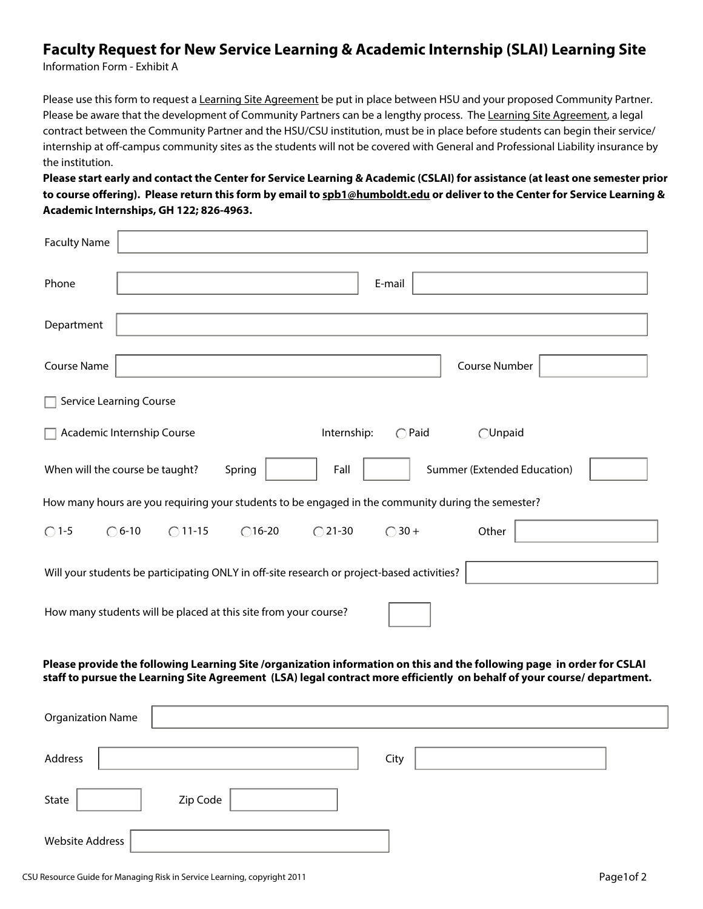## **Faculty Request for New Service Learning & Academic Internship (SLAI) Learning Site**

Information Form - Exhibit A

Please use this form to request a Learning Site Agreement be put in place between HSU and your proposed Community Partner. Please be aware that the development of Community Partners can be a lengthy process. The Learning Site Agreement, a legal contract between the Community Partner and the HSU/CSU institution, must be in place before students can begin their service/ internship at off-campus community sites as the students will not be covered with General and Professional Liability insurance by the institution.

**Please start early and contact the Center for Service Learning & Academic (CSLAI) for assistance (at least one semester prior to course offering). Please return this form by email to spb1@humboldt.edu or deliver to the Center for Service Learning & Academic Internships, GH 122; 826-4963.**

| <b>Faculty Name</b>                                                                                                                                                                                                                              |  |  |  |  |  |
|--------------------------------------------------------------------------------------------------------------------------------------------------------------------------------------------------------------------------------------------------|--|--|--|--|--|
| Phone<br>E-mail                                                                                                                                                                                                                                  |  |  |  |  |  |
| Department                                                                                                                                                                                                                                       |  |  |  |  |  |
| <b>Course Name</b><br>Course Number                                                                                                                                                                                                              |  |  |  |  |  |
| <b>Service Learning Course</b>                                                                                                                                                                                                                   |  |  |  |  |  |
| Academic Internship Course<br>Internship:<br>$\bigcirc$ Paid<br><b>OUnpaid</b>                                                                                                                                                                   |  |  |  |  |  |
| Summer (Extended Education)<br>When will the course be taught?<br>Spring<br>Fall                                                                                                                                                                 |  |  |  |  |  |
| How many hours are you requiring your students to be engaged in the community during the semester?                                                                                                                                               |  |  |  |  |  |
| $\bigcirc$ 1-5<br>$\bigcirc$ 6-10<br>$\bigcirc$ 11-15<br>$\bigcap$ 16-20<br>$\bigcirc$ 21-30<br>$\bigcirc$ 30 +<br>Other                                                                                                                         |  |  |  |  |  |
| Will your students be participating ONLY in off-site research or project-based activities?                                                                                                                                                       |  |  |  |  |  |
| How many students will be placed at this site from your course?                                                                                                                                                                                  |  |  |  |  |  |
| Please provide the following Learning Site /organization information on this and the following page in order for CSLAI<br>staff to pursue the Learning Site Agreement (LSA) legal contract more efficiently on behalf of your course/department. |  |  |  |  |  |
| <b>Organization Name</b>                                                                                                                                                                                                                         |  |  |  |  |  |
| Address<br>City                                                                                                                                                                                                                                  |  |  |  |  |  |

State | Zip Code

Website Address